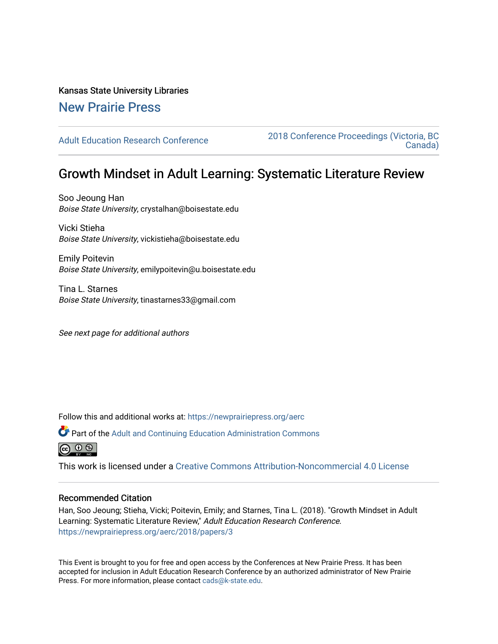# Kansas State University Libraries

# [New Prairie Press](https://newprairiepress.org/)

[Adult Education Research Conference](https://newprairiepress.org/aerc) [2018 Conference Proceedings \(Victoria, BC](https://newprairiepress.org/aerc/2018)  [Canada\)](https://newprairiepress.org/aerc/2018) 

# Growth Mindset in Adult Learning: Systematic Literature Review

Soo Jeoung Han Boise State University, crystalhan@boisestate.edu

Vicki Stieha Boise State University, vickistieha@boisestate.edu

Emily Poitevin Boise State University, emilypoitevin@u.boisestate.edu

Tina L. Starnes Boise State University, tinastarnes33@gmail.com

See next page for additional authors

Follow this and additional works at: [https://newprairiepress.org/aerc](https://newprairiepress.org/aerc?utm_source=newprairiepress.org%2Faerc%2F2018%2Fpapers%2F3&utm_medium=PDF&utm_campaign=PDFCoverPages)

Part of the [Adult and Continuing Education Administration Commons](http://network.bepress.com/hgg/discipline/789?utm_source=newprairiepress.org%2Faerc%2F2018%2Fpapers%2F3&utm_medium=PDF&utm_campaign=PDFCoverPages) © ⊙ ®

This work is licensed under a [Creative Commons Attribution-Noncommercial 4.0 License](https://creativecommons.org/licenses/by-nc/4.0/)

# Recommended Citation

Han, Soo Jeoung; Stieha, Vicki; Poitevin, Emily; and Starnes, Tina L. (2018). "Growth Mindset in Adult Learning: Systematic Literature Review," Adult Education Research Conference. <https://newprairiepress.org/aerc/2018/papers/3>

This Event is brought to you for free and open access by the Conferences at New Prairie Press. It has been accepted for inclusion in Adult Education Research Conference by an authorized administrator of New Prairie Press. For more information, please contact [cads@k-state.edu.](mailto:cads@k-state.edu)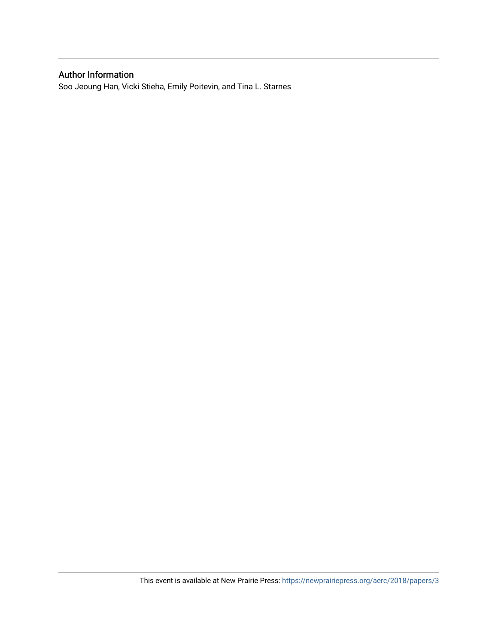# Author Information

Soo Jeoung Han, Vicki Stieha, Emily Poitevin, and Tina L. Starnes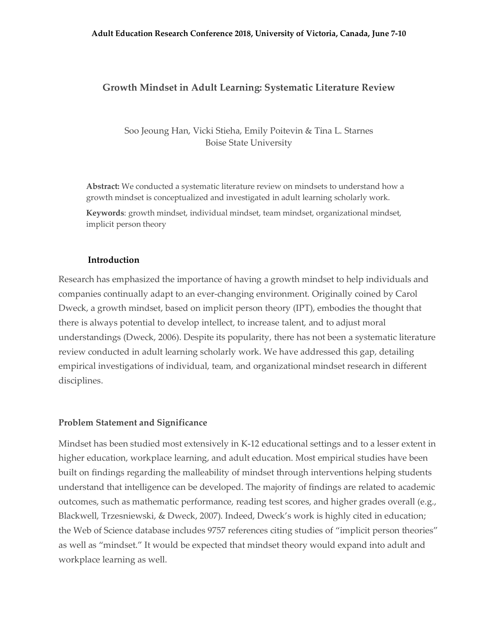# **Growth Mindset in Adult Learning: Systematic Literature Review**

Soo Jeoung Han, Vicki Stieha, Emily Poitevin & Tina L. Starnes Boise State University

**Abstract:** We conducted a systematic literature review on mindsets to understand how a growth mindset is conceptualized and investigated in adult learning scholarly work.

**Keywords**: growth mindset, individual mindset, team mindset, organizational mindset, implicit person theory

#### **Introduction**

Research has emphasized the importance of having a growth mindset to help individuals and companies continually adapt to an ever-changing environment. Originally coined by Carol Dweck, a growth mindset, based on implicit person theory (IPT), embodies the thought that there is always potential to develop intellect, to increase talent, and to adjust moral understandings (Dweck, 2006). Despite its popularity, there has not been a systematic literature review conducted in adult learning scholarly work. We have addressed this gap, detailing empirical investigations of individual, team, and organizational mindset research in different disciplines.

#### **Problem Statement and Significance**

Mindset has been studied most extensively in K-12 educational settings and to a lesser extent in higher education, workplace learning, and adult education. Most empirical studies have been built on findings regarding the malleability of mindset through interventions helping students understand that intelligence can be developed. The majority of findings are related to academic outcomes, such as mathematic performance, reading test scores, and higher grades overall (e.g., Blackwell, Trzesniewski, & Dweck, 2007). Indeed, Dweck's work is highly cited in education; the Web of Science database includes 9757 references citing studies of "implicit person theories" as well as "mindset." It would be expected that mindset theory would expand into adult and workplace learning as well.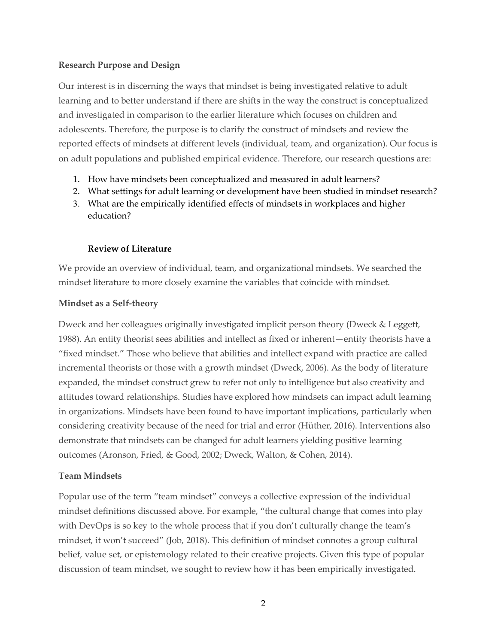# **Research Purpose and Design**

Our interest is in discerning the ways that mindset is being investigated relative to adult learning and to better understand if there are shifts in the way the construct is conceptualized and investigated in comparison to the earlier literature which focuses on children and adolescents. Therefore, the purpose is to clarify the construct of mindsets and review the reported effects of mindsets at different levels (individual, team, and organization). Our focus is on adult populations and published empirical evidence. Therefore, our research questions are:

- 1. How have mindsets been conceptualized and measured in adult learners?
- 2. What settings for adult learning or development have been studied in mindset research?
- 3. What are the empirically identified effects of mindsets in workplaces and higher education?

# **Review of Literature**

We provide an overview of individual, team, and organizational mindsets. We searched the mindset literature to more closely examine the variables that coincide with mindset.

# **Mindset as a Self-theory**

Dweck and her colleagues originally investigated implicit person theory (Dweck & Leggett, 1988). An entity theorist sees abilities and intellect as fixed or inherent—entity theorists have a "fixed mindset." Those who believe that abilities and intellect expand with practice are called incremental theorists or those with a growth mindset (Dweck, 2006). As the body of literature expanded, the mindset construct grew to refer not only to intelligence but also creativity and attitudes toward relationships. Studies have explored how mindsets can impact adult learning in organizations. Mindsets have been found to have important implications, particularly when considering creativity because of the need for trial and error (Hüther, 2016). Interventions also demonstrate that mindsets can be changed for adult learners yielding positive learning outcomes (Aronson, Fried, & Good, 2002; Dweck, Walton, & Cohen, 2014).

# **Team Mindsets**

Popular use of the term "team mindset" conveys a collective expression of the individual mindset definitions discussed above. For example, "the cultural change that comes into play with DevOps is so key to the whole process that if you don't culturally change the team's mindset, it won't succeed" (Job, 2018). This definition of mindset connotes a group cultural belief, value set, or epistemology related to their creative projects. Given this type of popular discussion of team mindset, we sought to review how it has been empirically investigated.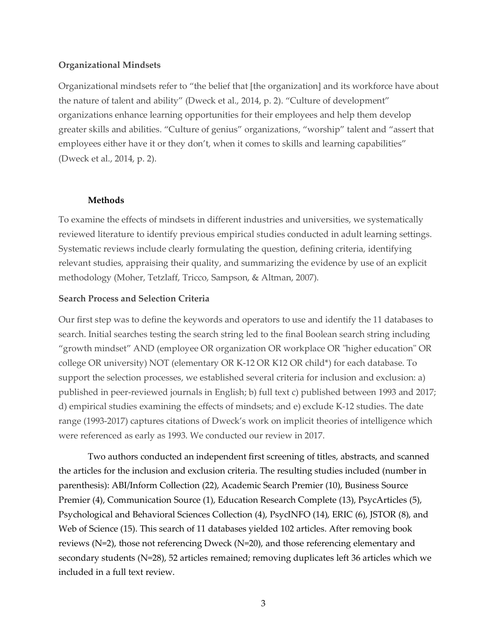## **Organizational Mindsets**

Organizational mindsets refer to "the belief that [the organization] and its workforce have about the nature of talent and ability" (Dweck et al., 2014, p. 2). "Culture of development" organizations enhance learning opportunities for their employees and help them develop greater skills and abilities. "Culture of genius" organizations, "worship" talent and "assert that employees either have it or they don't, when it comes to skills and learning capabilities" (Dweck et al., 2014, p. 2).

## **Methods**

To examine the effects of mindsets in different industries and universities, we systematically reviewed literature to identify previous empirical studies conducted in adult learning settings. Systematic reviews include clearly formulating the question, defining criteria, identifying relevant studies, appraising their quality, and summarizing the evidence by use of an explicit methodology (Moher, Tetzlaff, Tricco, Sampson, & Altman, 2007).

## **Search Process and Selection Criteria**

Our first step was to define the keywords and operators to use and identify the 11 databases to search. Initial searches testing the search string led to the final Boolean search string including "growth mindset" AND (employee OR organization OR workplace OR "higher education" OR college OR university) NOT (elementary OR K-12 OR K12 OR child\*) for each database. To support the selection processes, we established several criteria for inclusion and exclusion: a) published in peer-reviewed journals in English; b) full text c) published between 1993 and 2017; d) empirical studies examining the effects of mindsets; and e) exclude K-12 studies. The date range (1993-2017) captures citations of Dweck's work on implicit theories of intelligence which were referenced as early as 1993. We conducted our review in 2017.

Two authors conducted an independent first screening of titles, abstracts, and scanned the articles for the inclusion and exclusion criteria. The resulting studies included (number in parenthesis): ABI/Inform Collection (22), Academic Search Premier (10), Business Source Premier (4), Communication Source (1), Education Research Complete (13), PsycArticles (5), Psychological and Behavioral Sciences Collection (4), PsycINFO (14), ERIC (6), JSTOR (8), and Web of Science (15). This search of 11 databases yielded 102 articles. After removing book reviews (N=2), those not referencing Dweck (N=20), and those referencing elementary and secondary students (N=28), 52 articles remained; removing duplicates left 36 articles which we included in a full text review.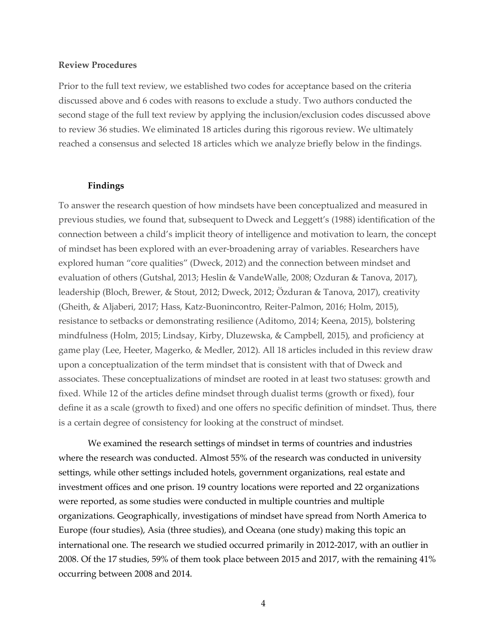#### **Review Procedures**

Prior to the full text review, we established two codes for acceptance based on the criteria discussed above and 6 codes with reasons to exclude a study. Two authors conducted the second stage of the full text review by applying the inclusion/exclusion codes discussed above to review 36 studies. We eliminated 18 articles during this rigorous review. We ultimately reached a consensus and selected 18 articles which we analyze briefly below in the findings.

#### **Findings**

To answer the research question of how mindsets have been conceptualized and measured in previous studies, we found that, subsequent to Dweck and Leggett's (1988) identification of the connection between a child's implicit theory of intelligence and motivation to learn, the concept of mindset has been explored with an ever-broadening array of variables. Researchers have explored human "core qualities" (Dweck, 2012) and the connection between mindset and evaluation of others (Gutshal, 2013; Heslin & VandeWalle, 2008; Ozduran & Tanova, 2017), leadership (Bloch, Brewer, & Stout, 2012; Dweck, 2012; Özduran & Tanova, 2017), creativity (Gheith, & Aljaberi, 2017; Hass, Katz-Buonincontro, Reiter-Palmon, 2016; Holm, 2015), resistance to setbacks or demonstrating resilience (Aditomo, 2014; Keena, 2015), bolstering mindfulness (Holm, 2015; Lindsay, Kirby, Dluzewska, & Campbell, 2015), and proficiency at game play (Lee, Heeter, Magerko, & Medler, 2012). All 18 articles included in this review draw upon a conceptualization of the term mindset that is consistent with that of Dweck and associates. These conceptualizations of mindset are rooted in at least two statuses: growth and fixed. While 12 of the articles define mindset through dualist terms (growth or fixed), four define it as a scale (growth to fixed) and one offers no specific definition of mindset. Thus, there is a certain degree of consistency for looking at the construct of mindset.

We examined the research settings of mindset in terms of countries and industries where the research was conducted. Almost 55% of the research was conducted in university settings, while other settings included hotels, government organizations, real estate and investment offices and one prison. 19 country locations were reported and 22 organizations were reported, as some studies were conducted in multiple countries and multiple organizations. Geographically, investigations of mindset have spread from North America to Europe (four studies), Asia (three studies), and Oceana (one study) making this topic an international one. The research we studied occurred primarily in 2012-2017, with an outlier in 2008. Of the 17 studies, 59% of them took place between 2015 and 2017, with the remaining 41% occurring between 2008 and 2014.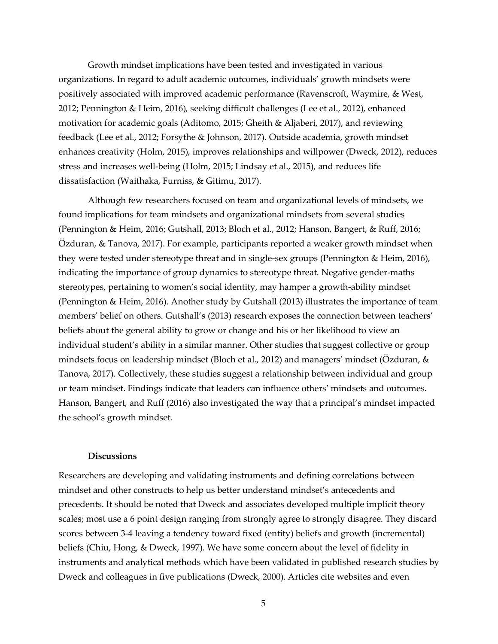Growth mindset implications have been tested and investigated in various organizations. In regard to adult academic outcomes, individuals' growth mindsets were positively associated with improved academic performance (Ravenscroft, Waymire, & West, 2012; Pennington & Heim, 2016), seeking difficult challenges (Lee et al., 2012), enhanced motivation for academic goals (Aditomo, 2015; Gheith & Aljaberi, 2017), and reviewing feedback (Lee et al., 2012; Forsythe & Johnson, 2017). Outside academia, growth mindset enhances creativity (Holm, 2015), improves relationships and willpower (Dweck, 2012), reduces stress and increases well-being (Holm, 2015; Lindsay et al., 2015), and reduces life dissatisfaction (Waithaka, Furniss, & Gitimu, 2017).

Although few researchers focused on team and organizational levels of mindsets, we found implications for team mindsets and organizational mindsets from several studies (Pennington & Heim, 2016; Gutshall, 2013; Bloch et al., 2012; Hanson, Bangert, & Ruff, 2016; Özduran, & Tanova, 2017). For example, participants reported a weaker growth mindset when they were tested under stereotype threat and in single-sex groups (Pennington & Heim, 2016), indicating the importance of group dynamics to stereotype threat. Negative gender-maths stereotypes, pertaining to women's social identity, may hamper a growth-ability mindset (Pennington & Heim, 2016). Another study by Gutshall (2013) illustrates the importance of team members' belief on others. Gutshall's (2013) research exposes the connection between teachers' beliefs about the general ability to grow or change and his or her likelihood to view an individual student's ability in a similar manner. Other studies that suggest collective or group mindsets focus on leadership mindset (Bloch et al., 2012) and managers' mindset (Özduran, & Tanova, 2017). Collectively, these studies suggest a relationship between individual and group or team mindset. Findings indicate that leaders can influence others' mindsets and outcomes. Hanson, Bangert, and Ruff (2016) also investigated the way that a principal's mindset impacted the school's growth mindset.

## **Discussions**

Researchers are developing and validating instruments and defining correlations between mindset and other constructs to help us better understand mindset's antecedents and precedents. It should be noted that Dweck and associates developed multiple implicit theory scales; most use a 6 point design ranging from strongly agree to strongly disagree. They discard scores between 3-4 leaving a tendency toward fixed (entity) beliefs and growth (incremental) beliefs (Chiu, Hong, & Dweck, 1997). We have some concern about the level of fidelity in instruments and analytical methods which have been validated in published research studies by Dweck and colleagues in five publications (Dweck, 2000). Articles cite websites and even

5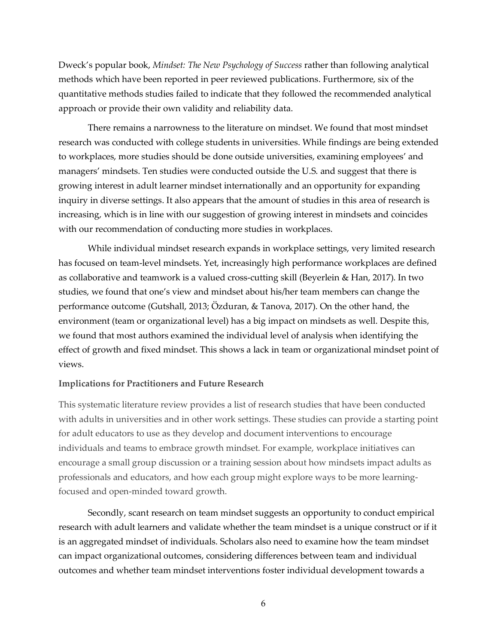Dweck's popular book, *Mindset: The New Psychology of Success* rather than following analytical methods which have been reported in peer reviewed publications. Furthermore, six of the quantitative methods studies failed to indicate that they followed the recommended analytical approach or provide their own validity and reliability data.

There remains a narrowness to the literature on mindset. We found that most mindset research was conducted with college students in universities. While findings are being extended to workplaces, more studies should be done outside universities, examining employees' and managers' mindsets. Ten studies were conducted outside the U.S. and suggest that there is growing interest in adult learner mindset internationally and an opportunity for expanding inquiry in diverse settings. It also appears that the amount of studies in this area of research is increasing, which is in line with our suggestion of growing interest in mindsets and coincides with our recommendation of conducting more studies in workplaces.

While individual mindset research expands in workplace settings, very limited research has focused on team-level mindsets. Yet, increasingly high performance workplaces are defined as collaborative and teamwork is a valued cross-cutting skill (Beyerlein & Han, 2017). In two studies, we found that one's view and mindset about his/her team members can change the performance outcome (Gutshall, 2013; Özduran, & Tanova, 2017). On the other hand, the environment (team or organizational level) has a big impact on mindsets as well. Despite this, we found that most authors examined the individual level of analysis when identifying the effect of growth and fixed mindset. This shows a lack in team or organizational mindset point of views.

#### **Implications for Practitioners and Future Research**

This systematic literature review provides a list of research studies that have been conducted with adults in universities and in other work settings. These studies can provide a starting point for adult educators to use as they develop and document interventions to encourage individuals and teams to embrace growth mindset. For example, workplace initiatives can encourage a small group discussion or a training session about how mindsets impact adults as professionals and educators, and how each group might explore ways to be more learningfocused and open-minded toward growth.

Secondly, scant research on team mindset suggests an opportunity to conduct empirical research with adult learners and validate whether the team mindset is a unique construct or if it is an aggregated mindset of individuals. Scholars also need to examine how the team mindset can impact organizational outcomes, considering differences between team and individual outcomes and whether team mindset interventions foster individual development towards a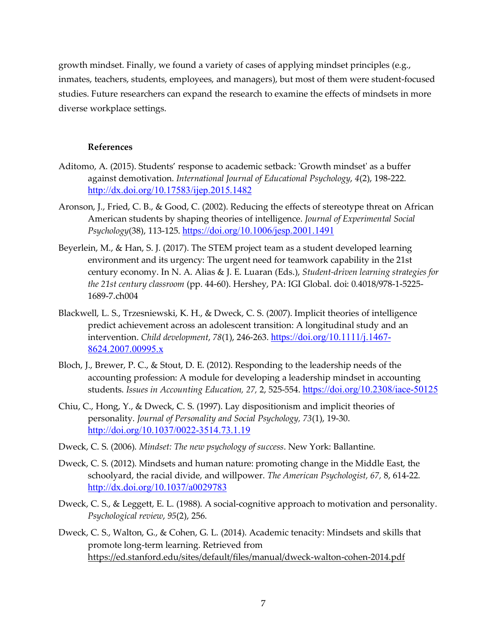growth mindset. Finally, we found a variety of cases of applying mindset principles (e.g., inmates, teachers, students, employees, and managers), but most of them were student-focused studies. Future researchers can expand the research to examine the effects of mindsets in more diverse workplace settings.

## **References**

- Aditomo, A. (2015). Students' response to academic setback: 'Growth mindset' as a buffer against demotivation. *International Journal of Educational Psychology*, *4*(2), 198-222. http://dx.doi.org/10.17583/ijep.2015.1482
- Aronson, J., Fried, C. B., & Good, C. (2002). Reducing the effects of stereotype threat on African American students by shaping theories of intelligence. *Journal of Experimental Social Psychology*(38), 113-125. https://doi.org/10.1006/jesp.2001.1491
- Beyerlein, M., & Han, S. J. (2017). The STEM project team as a student developed learning environment and its urgency: The urgent need for teamwork capability in the 21st century economy. In N. A. Alias & J. E. Luaran (Eds.), *Student-driven learning strategies for the 21st century classroom* (pp. 44-60). Hershey, PA: IGI Global. doi: 0.4018/978-1-5225- 1689-7.ch004
- Blackwell, L. S., Trzesniewski, K. H., & Dweck, C. S. (2007). Implicit theories of intelligence predict achievement across an adolescent transition: A longitudinal study and an intervention. *Child development*, *78*(1), 246-263. https://doi.org/10.1111/j.1467- 8624.2007.00995.x
- Bloch, J., Brewer, P. C., & Stout, D. E. (2012). Responding to the leadership needs of the accounting profession: A module for developing a leadership mindset in accounting students. *Issues in Accounting Education, 27,* 2, 525-554. https://doi.org/10.2308/iace-50125
- Chiu, C., Hong, Y., & Dweck, C. S. (1997). Lay dispositionism and implicit theories of personality. *Journal of Personality and Social Psychology, 73*(1), 19-30. http://doi.org/10.1037/0022-3514.73.1.19
- Dweck, C. S. (2006). *Mindset: The new psychology of success*. New York: Ballantine.
- Dweck, C. S. (2012). Mindsets and human nature: promoting change in the Middle East, the schoolyard, the racial divide, and willpower. *The American Psychologist, 67,* 8, 614-22. http://dx.doi.org/10.1037/a0029783
- Dweck, C. S., & Leggett, E. L. (1988). A social-cognitive approach to motivation and personality. *Psychological review*, *95*(2), 256.
- Dweck, C. S., Walton, G., & Cohen, G. L. (2014). Academic tenacity: Mindsets and skills that promote long-term learning. Retrieved from https://ed.stanford.edu/sites/default/files/manual/dweck-walton-cohen-2014.pdf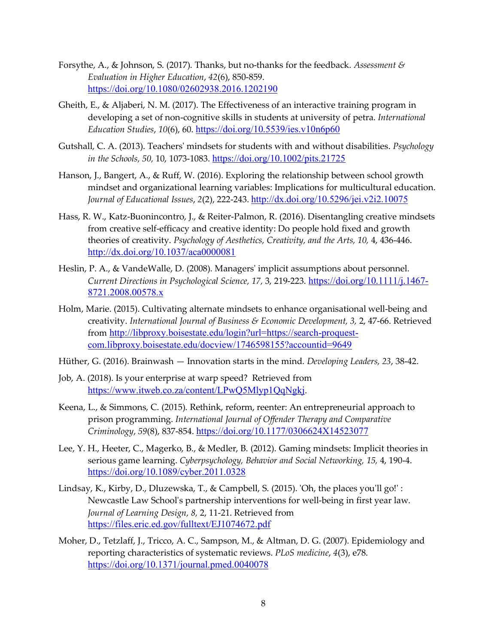- Forsythe, A., & Johnson, S. (2017). Thanks, but no-thanks for the feedback. *Assessment & Evaluation in Higher Education*, *42*(6), 850-859. https://doi.org/10.1080/02602938.2016.1202190
- Gheith, E., & Aljaberi, N. M. (2017). The Effectiveness of an interactive training program in developing a set of non-cognitive skills in students at university of petra. *International Education Studies*, *10*(6), 60. https://doi.org/10.5539/ies.v10n6p60
- Gutshall, C. A. (2013). Teachers' mindsets for students with and without disabilities. *Psychology in the Schools, 50,* 10, 1073-1083. https://doi.org/10.1002/pits.21725
- Hanson, J., Bangert, A., & Ruff, W. (2016). Exploring the relationship between school growth mindset and organizational learning variables: Implications for multicultural education. *Journal of Educational Issues*, *2*(2), 222-243. http://dx.doi.org/10.5296/jei.v2i2.10075
- Hass, R. W., Katz-Buonincontro, J., & Reiter-Palmon, R. (2016). Disentangling creative mindsets from creative self-efficacy and creative identity: Do people hold fixed and growth theories of creativity. *Psychology of Aesthetics, Creativity, and the Arts, 10, 4, 436-446*. http://dx.doi.org/10.1037/aca0000081
- Heslin, P. A., & VandeWalle, D. (2008). Managers' implicit assumptions about personnel. *Current Directions in Psychological Science, 17,* 3, 219-223. https://doi.org/10.1111/j.1467- 8721.2008.00578.x
- Holm, Marie. (2015). Cultivating alternate mindsets to enhance organisational well-being and creativity. *International Journal of Business & Economic Development, 3,* 2, 47-66. Retrieved from http://libproxy.boisestate.edu/login?url=https://search-proquestcom.libproxy.boisestate.edu/docview/1746598155?accountid=9649
- Hüther, G. (2016). Brainwash Innovation starts in the mind. *Developing Leaders, 23*, 38-42.
- Job, A. (2018). Is your enterprise at warp speed? Retrieved from https://www.itweb.co.za/content/LPwQ5Mlyp1QqNgkj.
- Keena, L., & Simmons, C. (2015). Rethink, reform, reenter: An entrepreneurial approach to prison programming. *International Journal of Offender Therapy and Comparative Criminology*, *59*(8), 837-854. https://doi.org/10.1177/0306624X14523077
- Lee, Y. H., Heeter, C., Magerko, B., & Medler, B. (2012). Gaming mindsets: Implicit theories in serious game learning. *Cyberpsychology, Behavior and Social Networking, 15,* 4, 190-4. https://doi.org/10.1089/cyber.2011.0328
- Lindsay, K., Kirby, D., Dluzewska, T., & Campbell, S. (2015). 'Oh, the places you'll go!': Newcastle Law School's partnership interventions for well-being in first year law. *Journal of Learning Design, 8,* 2, 11-21. Retrieved from https://files.eric.ed.gov/fulltext/EJ1074672.pdf
- Moher, D., Tetzlaff, J., Tricco, A. C., Sampson, M., & Altman, D. G. (2007). Epidemiology and reporting characteristics of systematic reviews. *PLoS medicine*, *4*(3), e78. https://doi.org/10.1371/journal.pmed.0040078